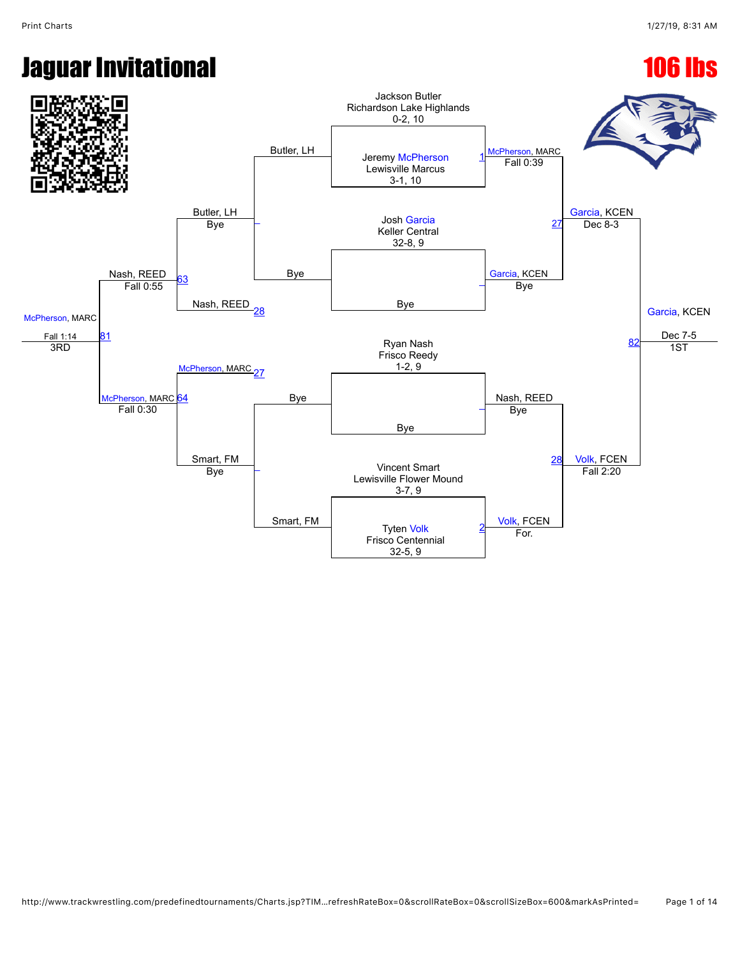# **Jaguar Invitational 106 lbs**

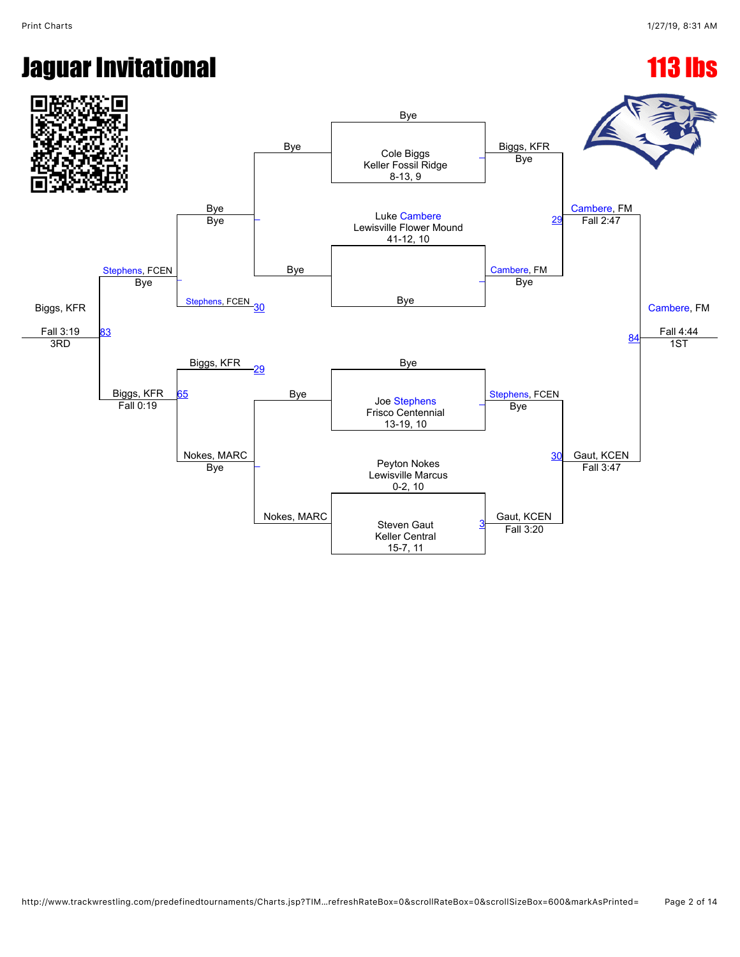#### **Jaguar Invitational 113 lbs**

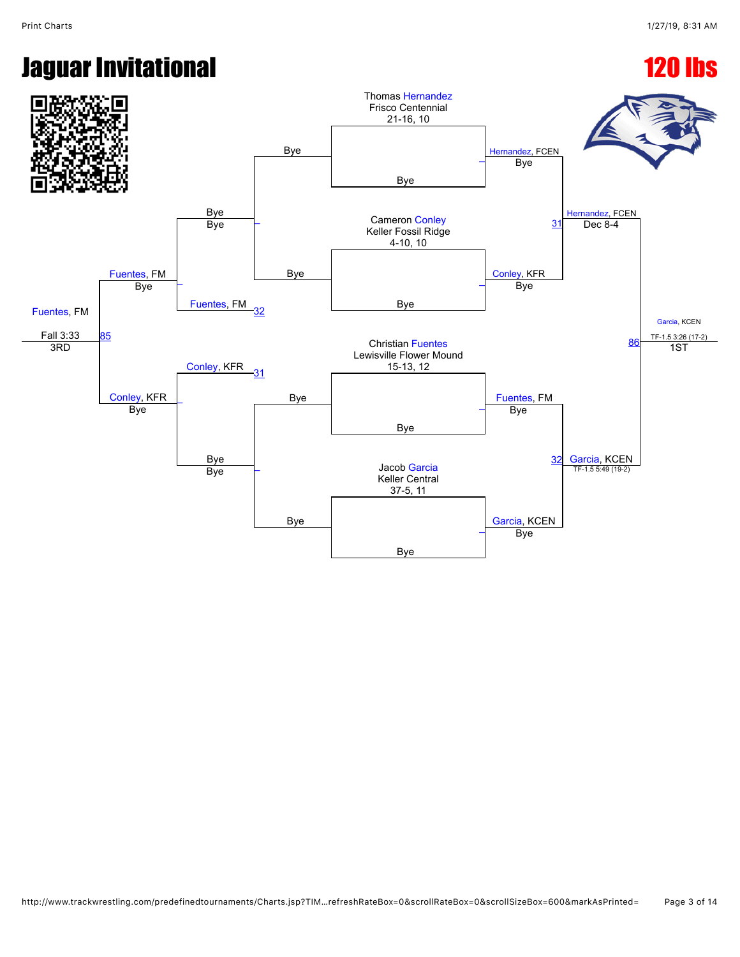# **Jaguar Invitational 120 lbs**

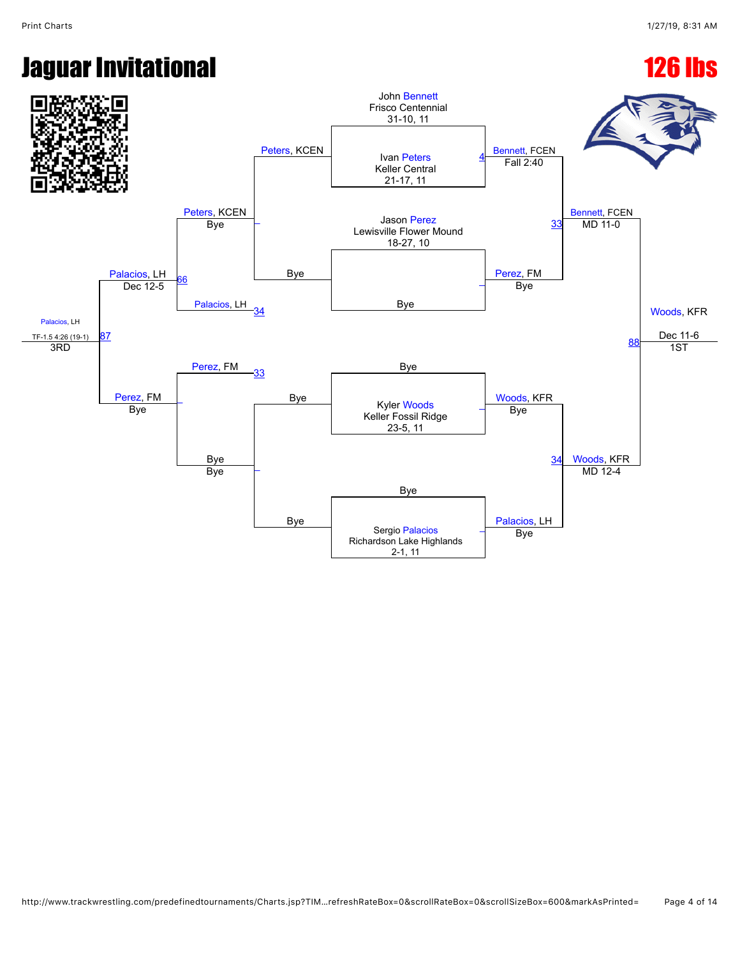### **Jaguar Invitational 126 lbs**

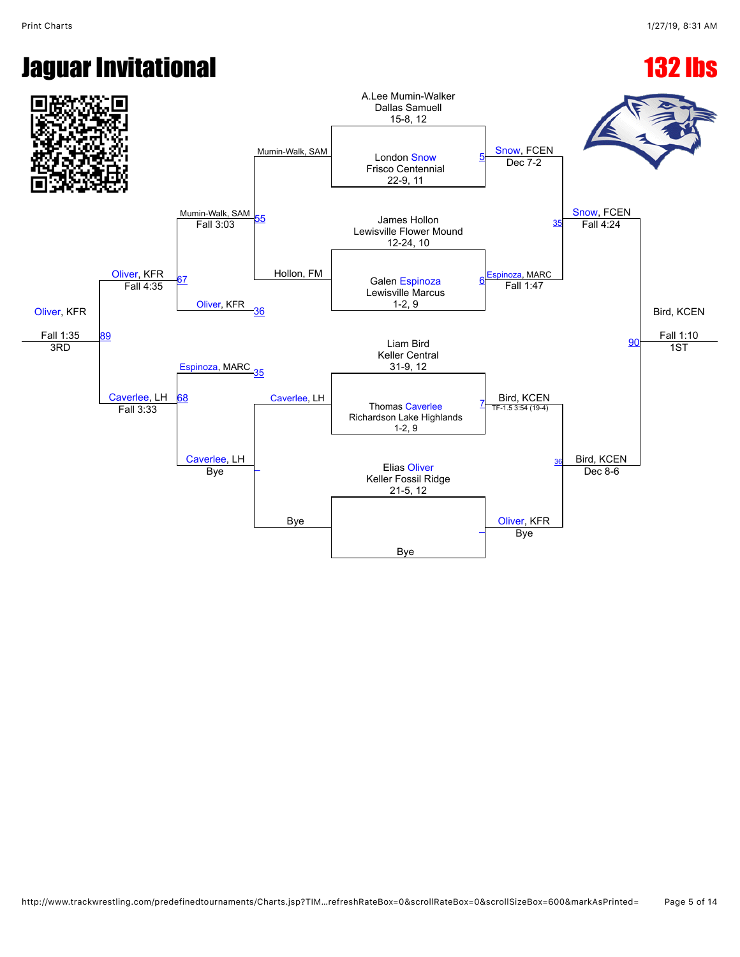## **Jaguar Invitational 132 lbs**

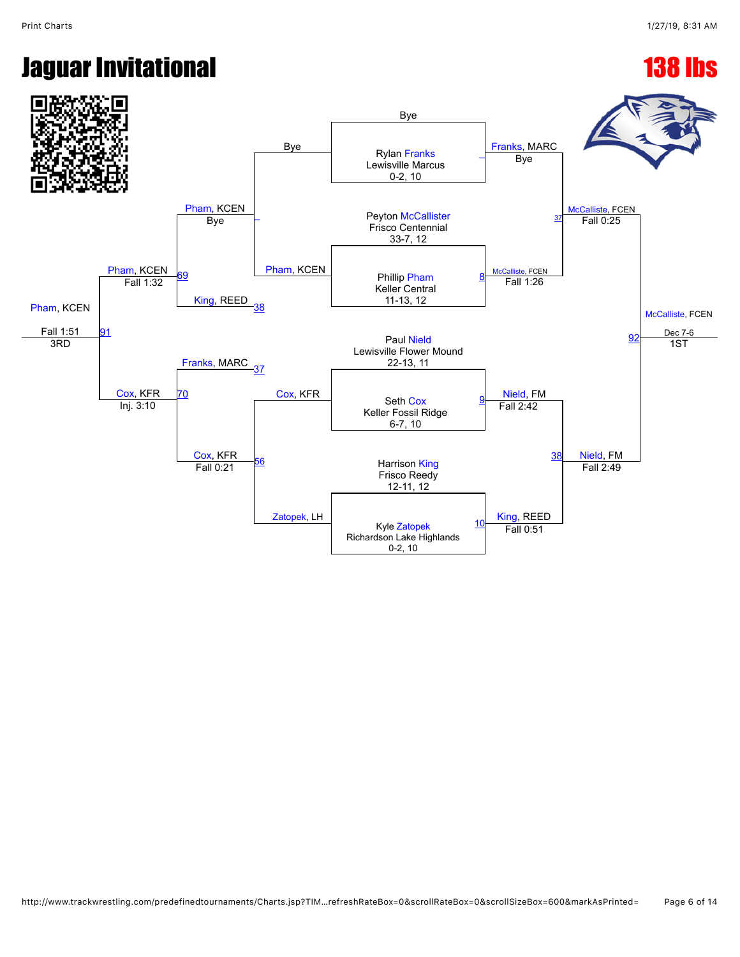### **Jaguar Invitational 138 lbs**

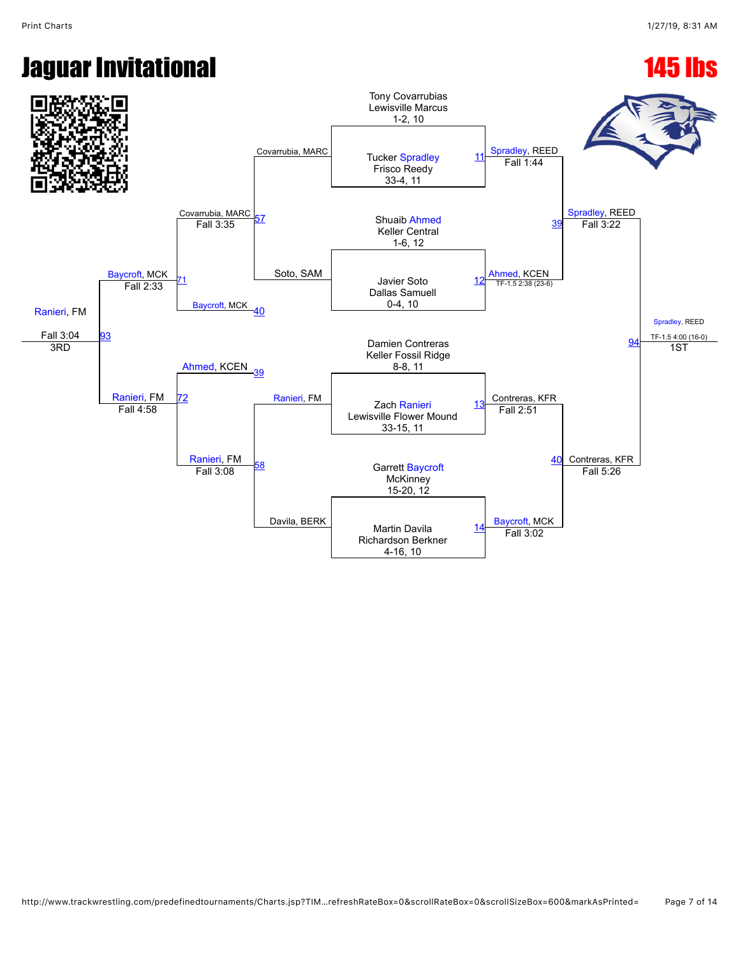# **Jaguar Invitational 145 lbs**

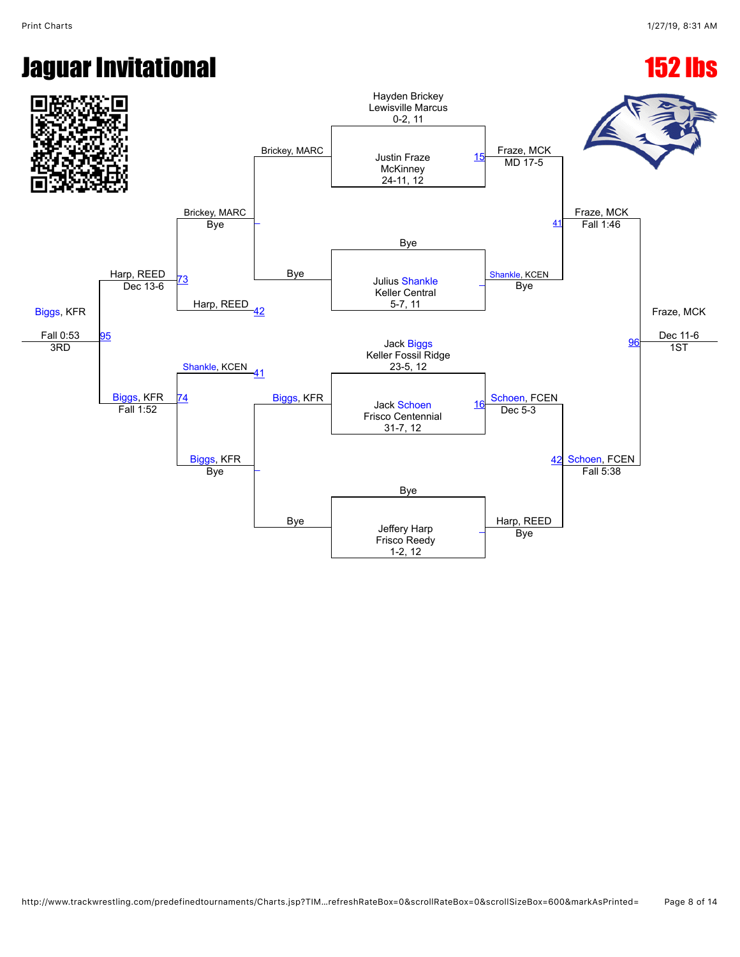## **Jaguar Invitational 152 lbs**

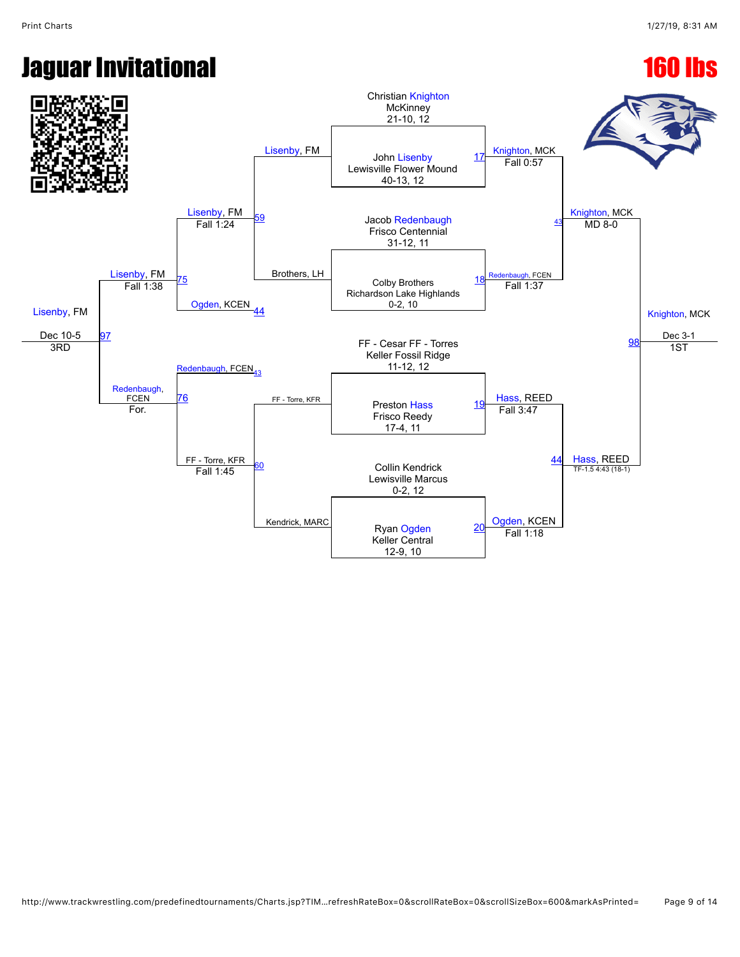### **Jaguar Invitational 160 lbs**

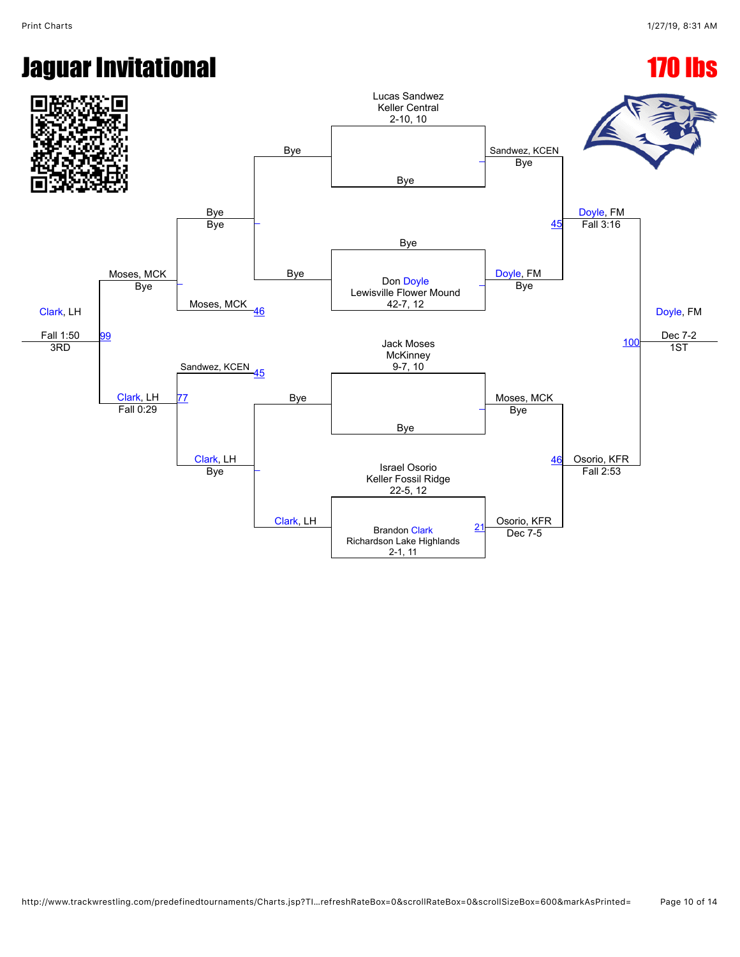# Jaguar Invitational 170 lbs

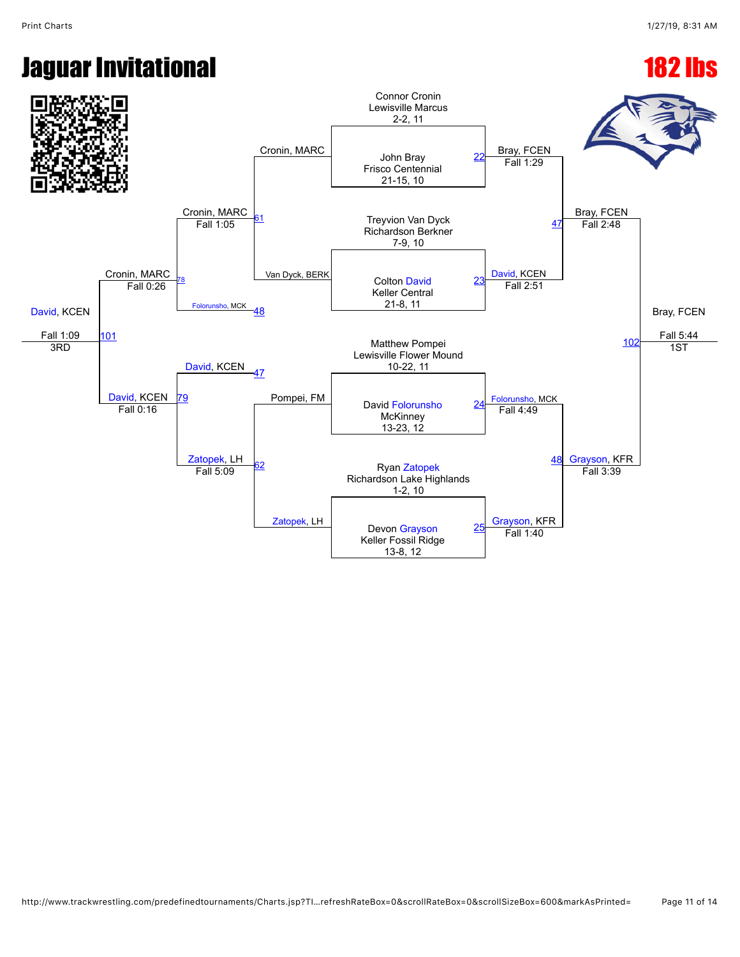## Jaguar Invitational 182 lbs

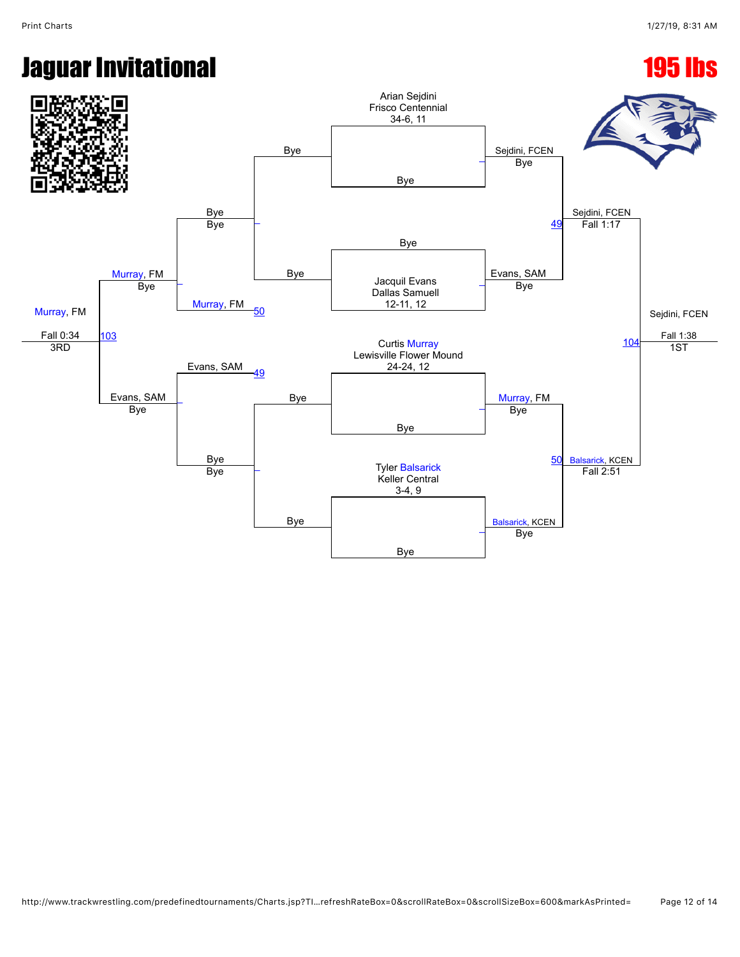# **Jaguar Invitational 195 lbs**

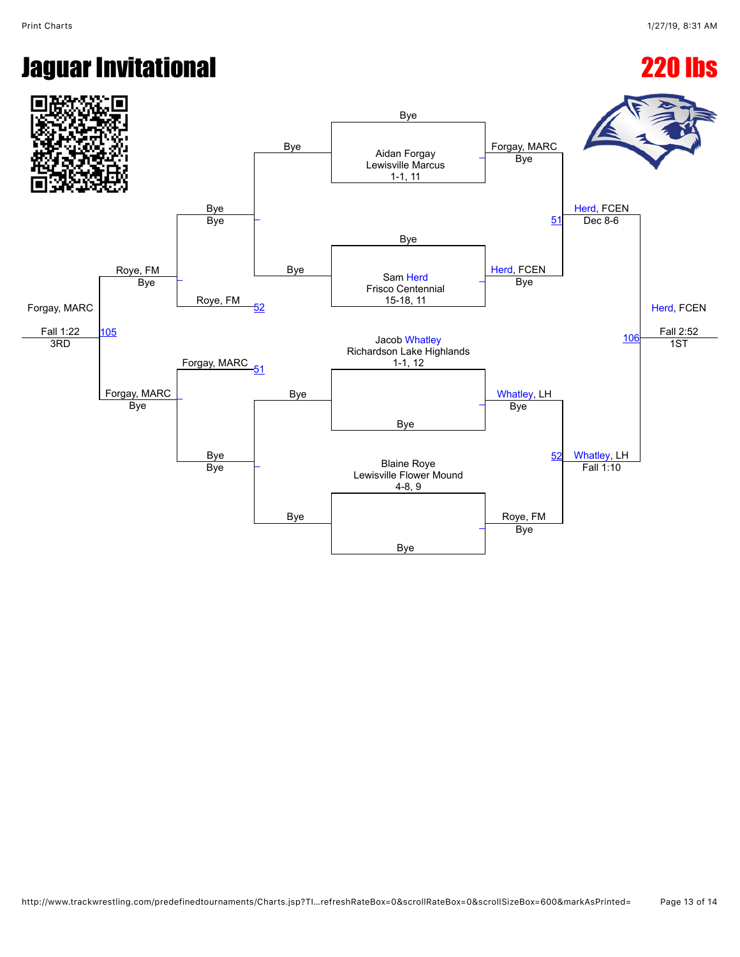### Jaguar Invitational 220 lbs